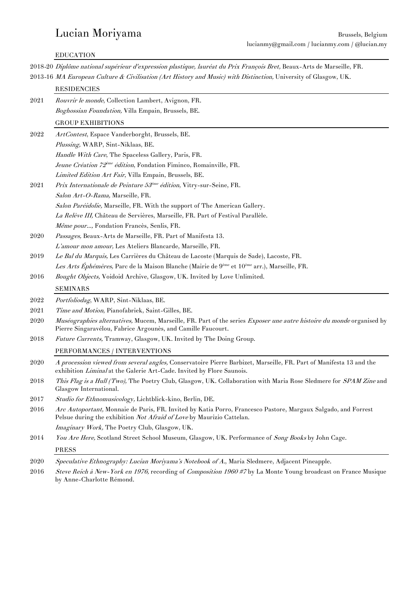# EDUCATION

2018-20 Diplôme national supérieur d'expression plastique, lauréat du Prix François Bret, Beaux-Arts de Marseille, FR. 2013-16 MA European Culture & Civilisation (Art History and Music) with Distinction, University of Glasgow, UK. **RESIDENCIES** 2021 Rouvrir le monde, Collection Lambert, Avignon, FR. Boghossian Foundation, Villa Empain, Brussels, BE. GROUP EXHIBITIONS

| 2022 | <i>ArtContest</i> , Espace Vanderborght, Brussels, BE.                                                                                                                                       |
|------|----------------------------------------------------------------------------------------------------------------------------------------------------------------------------------------------|
|      | Plussing, WARP, Sint-Niklaas, BE.                                                                                                                                                            |
|      | Handle With Care, The Spaceless Gallery, Paris, FR.                                                                                                                                          |
|      | Jeune Création 72 <sup>ème</sup> édition, Fondation Fiminco, Romainville, FR.                                                                                                                |
|      | Limited Edition Art Fair, Villa Empain, Brussels, BE.                                                                                                                                        |
| 2021 | Prix Internationale de Peinture 53 <sup>ème</sup> édition, Vitry-sur-Seine, FR.                                                                                                              |
|      | Salon Art-O-Rama, Marseille, FR.                                                                                                                                                             |
|      | Salon Paréidolie, Marseille, FR. With the support of The American Gallery.                                                                                                                   |
|      | La Relève III, Château de Servières, Marseille, FR. Part of Festival Parallèle.                                                                                                              |
|      | Même pour, Fondation Francès, Senlis, FR.                                                                                                                                                    |
| 2020 | Passages, Beaux-Arts de Marseille, FR. Part of Manifesta 13.                                                                                                                                 |
|      | L'amour mon amour, Les Ateliers Blancarde, Marseille, FR.                                                                                                                                    |
| 2019 | Le Bal du Marquis, Les Carrières du Château de Lacoste (Marquis de Sade), Lacoste, FR.                                                                                                       |
|      | Les Arts Éphémères, Parc de la Maison Blanche (Mairie de 9 <sup>ème</sup> et 10 <sup>ème</sup> arr.), Marseille, FR.                                                                         |
| 2016 | Bought Objects, Voidoid Archive, Glasgow, UK. Invited by Love Unlimited.                                                                                                                     |
|      | <b>SEMINARS</b>                                                                                                                                                                              |
| 2022 | Portfoliodag, WARP, Sint-Niklaas, BE.                                                                                                                                                        |
| 2021 | Time and Motion, Pianofabriek, Saint-Gilles, BE.                                                                                                                                             |
| 2020 | Muséographies alternatives, Mucem, Marseille, FR. Part of the series Exposer une autre histoire du monde organised by<br>Pierre Singaravélou, Fabrice Argounès, and Camille Faucourt.        |
| 2018 | Future Currents, Tramway, Glasgow, UK. Invited by The Doing Group.                                                                                                                           |
|      | PERFORMANCES / INTERVENTIONS                                                                                                                                                                 |
| 2020 | A procession viewed from several angles, Conservatoire Pierre Barbizet, Marseille, FR. Part of Manifesta 13 and the<br>exhibition Liminal at the Galerie Art-Cade. Invited by Flore Saunois. |
| 2018 | This Flag is a Hull (Two), The Poetry Club, Glasgow, UK. Collaboration with Maria Rose Sledmere for SPAM Zine and<br>Glasgow International.                                                  |
| 2017 | Studio for Ethnomusicology, Lichtblick-kino, Berlin, DE.                                                                                                                                     |
| 2016 | Arc Autoportant, Monnaie de Paris, FR. Invited by Katia Porro, Francesco Pastore, Margaux Salgado, and Forrest<br>Pelsue during the exhibition Not Afraid of Love by Maurizio Cattelan.      |
|      | Imaginary Work, The Poetry Club, Glasgow, UK.                                                                                                                                                |
| 2014 | You Are Here, Scotland Street School Museum, Glasgow, UK. Performance of Song Books by John Cage.                                                                                            |
|      |                                                                                                                                                                                              |

2020 Speculative Ethnography: Lucian Moriyama's Notebook of A., Maria Sledmere, Adjacent Pineapple.

2016 Steve Reich à New-York en 1976, recording of Composition 1960 #7 by La Monte Young broadcast on France Musique by Anne-Charlotte Rémond.